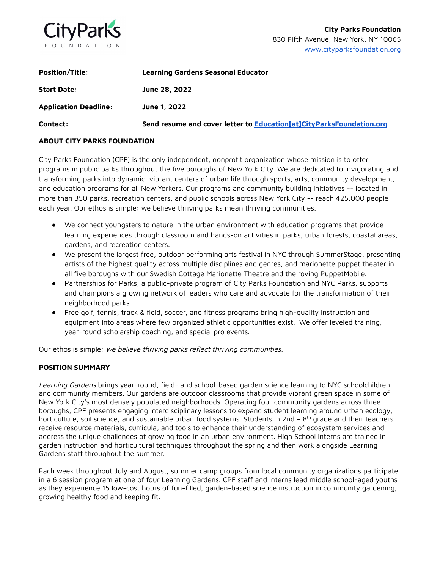

| <b>Position/Title:</b> | Learning Gardens Seasonal Educator                                   |
|------------------------|----------------------------------------------------------------------|
| <b>Start Date:</b>     | June 28, 2022                                                        |
| Application Deadline:  | June 1, 2022                                                         |
| Contact:               | Send resume and cover letter to Education[at]CityParksFoundation.org |

### **ABOUT CITY PARKS FOUNDATION**

City Parks Foundation (CPF) is the only independent, nonprofit organization whose mission is to offer programs in public parks throughout the five boroughs of New York City. We are dedicated to invigorating and transforming parks into dynamic, vibrant centers of urban life through sports, arts, community development, and education programs for all New Yorkers. Our programs and community building initiatives -- located in more than 350 parks, recreation centers, and public schools across New York City -- reach 425,000 people each year. Our ethos is simple: we believe thriving parks mean thriving communities.

- We connect youngsters to nature in the urban environment with education programs that provide learning experiences through classroom and hands-on activities in parks, urban forests, coastal areas, gardens, and recreation centers.
- We present the largest free, outdoor performing arts festival in NYC through SummerStage, presenting artists of the highest quality across multiple disciplines and genres, and marionette puppet theater in all five boroughs with our Swedish Cottage Marionette Theatre and the roving PuppetMobile.
- Partnerships for Parks, a public-private program of City Parks Foundation and NYC Parks, supports and champions a growing network of leaders who care and advocate for the transformation of their neighborhood parks.
- Free golf, tennis, track & field, soccer, and fitness programs bring high-quality instruction and equipment into areas where few organized athletic opportunities exist. We offer leveled training, year-round scholarship coaching, and special pro events.

Our ethos is simple: we believe thriving parks reflect thriving communities.

# **POSITION SUMMARY**

Learning Gardens brings year-round, field- and school-based garden science learning to NYC schoolchildren and community members. Our gardens are outdoor classrooms that provide vibrant green space in some of New York City's most densely populated neighborhoods. Operating four community gardens across three boroughs, CPF presents engaging interdisciplinary lessons to expand student learning around urban ecology, horticulture, soil science, and sustainable urban food systems. Students in 2nd – 8<sup>th</sup> grade and their teachers receive resource materials, curricula, and tools to enhance their understanding of ecosystem services and address the unique challenges of growing food in an urban environment. High School interns are trained in garden instruction and horticultural techniques throughout the spring and then work alongside Learning Gardens staff throughout the summer.

Each week throughout July and August, summer camp groups from local community organizations participate in a 6 session program at one of four Learning Gardens. CPF staff and interns lead middle school-aged youths as they experience 15 low-cost hours of fun-filled, garden-based science instruction in community gardening, growing healthy food and keeping fit.